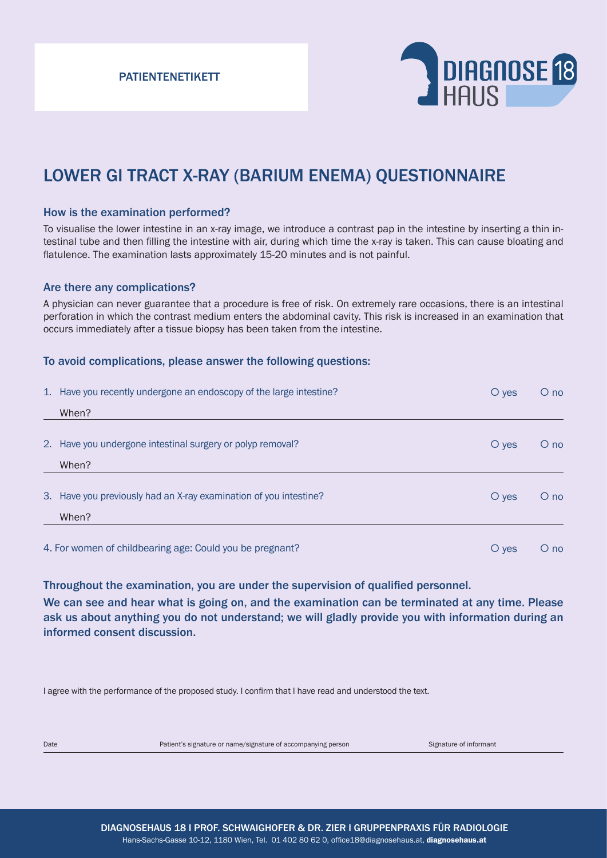PATIENTENETIKETT



# LOWER GI TRACT X-RAY (BARIUM ENEMA) QUESTIONNAIRE

### How is the examination performed?

To visualise the lower intestine in an x-ray image, we introduce a contrast pap in the intestine by inserting a thin intestinal tube and then filling the intestine with air, during which time the x-ray is taken. This can cause bloating and flatulence. The examination lasts approximately 15-20 minutes and is not painful.

### Are there any complications?

A physician can never guarantee that a procedure is free of risk. On extremely rare occasions, there is an intestinal perforation in which the contrast medium enters the abdominal cavity. This risk is increased in an examination that occurs immediately after a tissue biopsy has been taken from the intestine.

#### To avoid complications, please answer the following questions:

|                                                          | 1. Have you recently undergone an endoscopy of the large intestine? | $\overline{O}$ yes | $O$ no          |
|----------------------------------------------------------|---------------------------------------------------------------------|--------------------|-----------------|
|                                                          | When?                                                               |                    |                 |
|                                                          | 2. Have you undergone intestinal surgery or polyp removal?          | $\circ$ yes        | $\bigcirc$ no   |
|                                                          | When?                                                               |                    |                 |
|                                                          | 3. Have you previously had an X-ray examination of you intestine?   | $\circ$ yes        | $O$ no          |
|                                                          | When?                                                               |                    |                 |
| 4. For women of childbearing age: Could you be pregnant? |                                                                     | $\overline{O}$ yes | $\circ$<br>no ( |

Throughout the examination, you are under the supervision of qualified personnel.

We can see and hear what is going on, and the examination can be terminated at any time. Please ask us about anything you do not understand; we will gladly provide you with information during an informed consent discussion.

I agree with the performance of the proposed study. I confirm that I have read and understood the text.

Date **Patient's signature or name/signature of accompanying person** Signature of informant